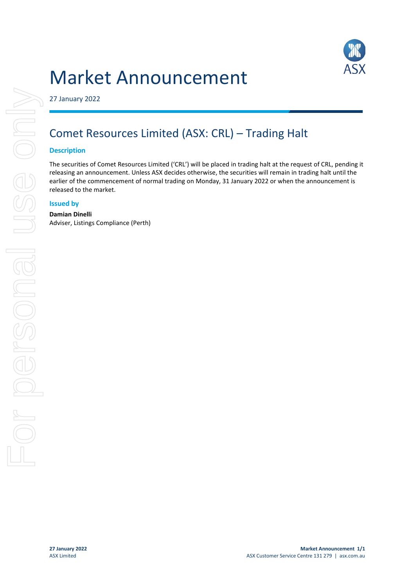# Market Announcement



27 January 2022

# Comet Resources Limited (ASX: CRL) – Trading Halt

## **Description**

The securities of Comet Resources Limited ('CRL') will be placed in trading halt at the request of CRL, pending it releasing an announcement. Unless ASX decides otherwise, the securities will remain in trading halt until the earlier of the commencement of normal trading on Monday, 31 January 2022 or when the announcement is released to the market.

# **Issued by**

# **Damian Dinelli**

Adviser, Listings Compliance (Perth)